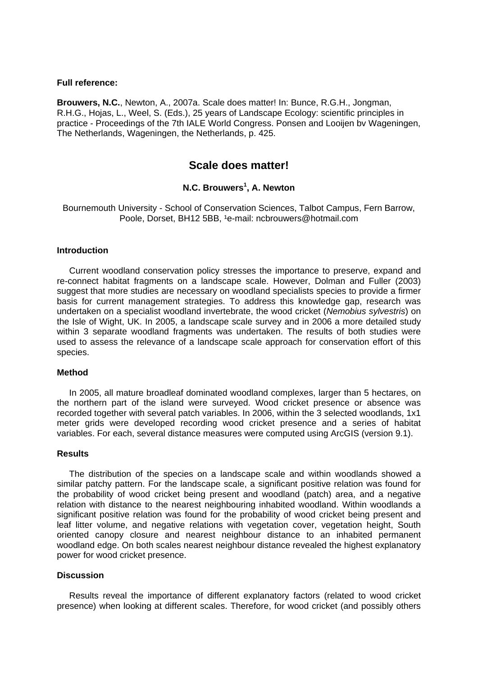#### **Full reference:**

**Brouwers, N.C.**, Newton, A., 2007a. Scale does matter! In: Bunce, R.G.H., Jongman, R.H.G., Hojas, L., Weel, S. (Eds.), 25 years of Landscape Ecology: scientific principles in practice - Proceedings of the 7th IALE World Congress. Ponsen and Looijen bv Wageningen, The Netherlands, Wageningen, the Netherlands, p. 425.

# **Scale does matter!**

## **N.C. Brouwers1 , A. Newton**

Bournemouth University - School of Conservation Sciences, Talbot Campus, Fern Barrow, Poole, Dorset, BH12 5BB, <sup>1</sup>e-mail: ncbrouwers@hotmail.com

#### **Introduction**

 Current woodland conservation policy stresses the importance to preserve, expand and re-connect habitat fragments on a landscape scale. However, Dolman and Fuller (2003) suggest that more studies are necessary on woodland specialists species to provide a firmer basis for current management strategies. To address this knowledge gap, research was undertaken on a specialist woodland invertebrate, the wood cricket (*Nemobius sylvestris*) on the Isle of Wight, UK. In 2005, a landscape scale survey and in 2006 a more detailed study within 3 separate woodland fragments was undertaken. The results of both studies were used to assess the relevance of a landscape scale approach for conservation effort of this species.

#### **Method**

 In 2005, all mature broadleaf dominated woodland complexes, larger than 5 hectares, on the northern part of the island were surveyed. Wood cricket presence or absence was recorded together with several patch variables. In 2006, within the 3 selected woodlands, 1x1 meter grids were developed recording wood cricket presence and a series of habitat variables. For each, several distance measures were computed using ArcGIS (version 9.1).

## **Results**

 The distribution of the species on a landscape scale and within woodlands showed a similar patchy pattern. For the landscape scale, a significant positive relation was found for the probability of wood cricket being present and woodland (patch) area, and a negative relation with distance to the nearest neighbouring inhabited woodland. Within woodlands a significant positive relation was found for the probability of wood cricket being present and leaf litter volume, and negative relations with vegetation cover, vegetation height, South oriented canopy closure and nearest neighbour distance to an inhabited permanent woodland edge. On both scales nearest neighbour distance revealed the highest explanatory power for wood cricket presence.

#### **Discussion**

 Results reveal the importance of different explanatory factors (related to wood cricket presence) when looking at different scales. Therefore, for wood cricket (and possibly others